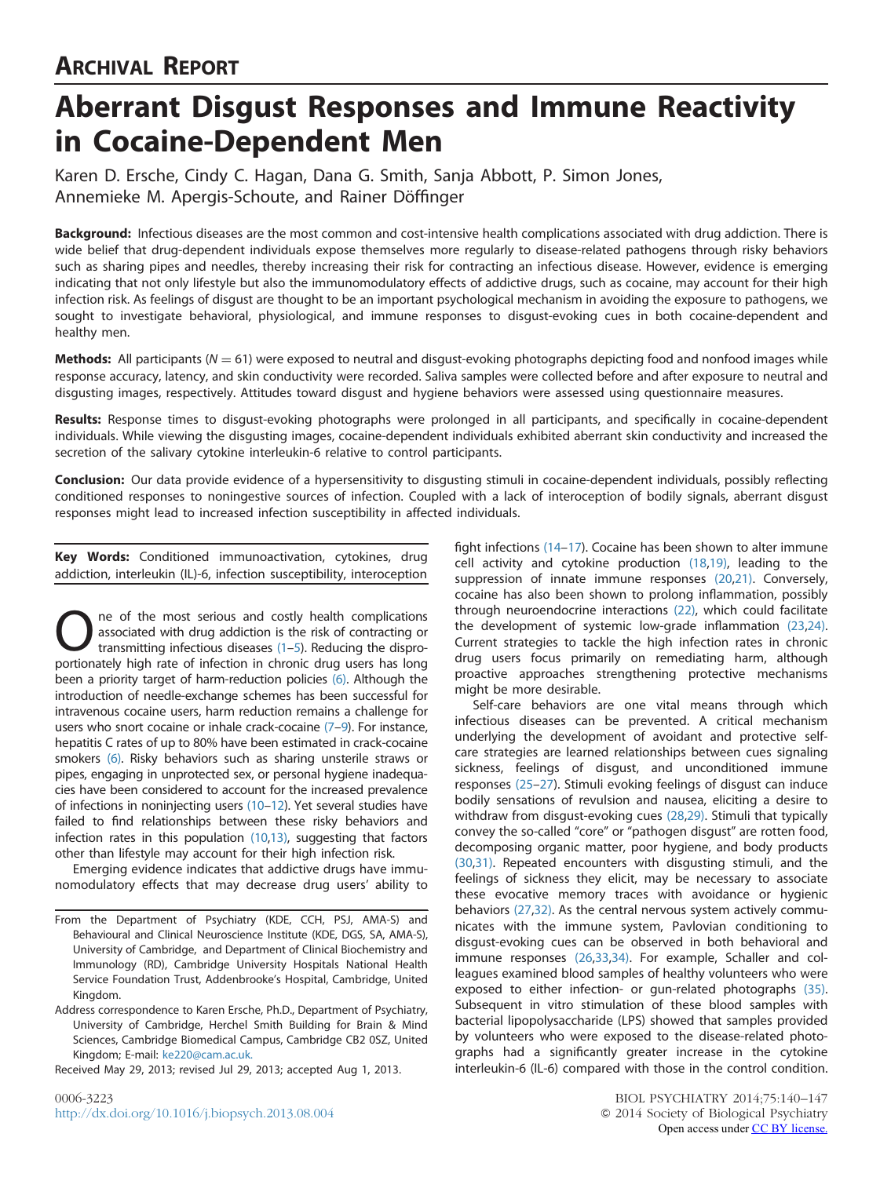# ARCHIVAL REPORT

# Aberrant Disgust Responses and Immune Reactivity in Cocaine-Dependent Men

Karen D. Ersche, Cindy C. Hagan, Dana G. Smith, Sanja Abbott, P. Simon Jones, Annemieke M. Apergis-Schoute, and Rainer Döffinger

Background: Infectious diseases are the most common and cost-intensive health complications associated with drug addiction. There is wide belief that drug-dependent individuals expose themselves more regularly to disease-related pathogens through risky behaviors such as sharing pipes and needles, thereby increasing their risk for contracting an infectious disease. However, evidence is emerging indicating that not only lifestyle but also the immunomodulatory effects of addictive drugs, such as cocaine, may account for their high infection risk. As feelings of disgust are thought to be an important psychological mechanism in avoiding the exposure to pathogens, we sought to investigate behavioral, physiological, and immune responses to disgust-evoking cues in both cocaine-dependent and healthy men.

**Methods:** All participants ( $N = 61$ ) were exposed to neutral and disgust-evoking photographs depicting food and nonfood images while response accuracy, latency, and skin conductivity were recorded. Saliva samples were collected before and after exposure to neutral and disgusting images, respectively. Attitudes toward disgust and hygiene behaviors were assessed using questionnaire measures.

Results: Response times to disgust-evoking photographs were prolonged in all participants, and specifically in cocaine-dependent individuals. While viewing the disgusting images, cocaine-dependent individuals exhibited aberrant skin conductivity and increased the secretion of the salivary cytokine interleukin-6 relative to control participants.

Conclusion: Our data provide evidence of a hypersensitivity to disgusting stimuli in cocaine-dependent individuals, possibly reflecting conditioned responses to noningestive sources of infection. Coupled with a lack of interoception of bodily signals, aberrant disgust responses might lead to increased infection susceptibility in affected individuals.

Key Words: Conditioned immunoactivation, cytokines, drug addiction, interleukin (IL)-6, infection susceptibility, interoception

One of the most serious and costly health complications<br>associated with drug addiction is the risk of contracting or<br>transmitting infectious diseases (1–5). Reducing the dispro-<br>portionately bigh rate of infection in chron associated with drug addiction is the risk of contracting or portionately high rate of infection in chronic drug users has long been a priority target of harm-reduction policies [\(6\)](#page-5-0). Although the introduction of needle-exchange schemes has been successful for intravenous cocaine users, harm reduction remains a challenge for users who snort cocaine or inhale crack-cocaine [\(7](#page-5-0)-[9](#page-5-0)). For instance, hepatitis C rates of up to 80% have been estimated in crack-cocaine smokers [\(6\)](#page-5-0). Risky behaviors such as sharing unsterile straws or pipes, engaging in unprotected sex, or personal hygiene inadequacies have been considered to account for the increased prevalence of infections in noninjecting users [\(10](#page-5-0)–[12\)](#page-5-0). Yet several studies have failed to find relationships between these risky behaviors and infection rates in this population [\(10,](#page-5-0)[13\),](#page-6-0) suggesting that factors other than lifestyle may account for their high infection risk.

Emerging evidence indicates that addictive drugs have immunomodulatory effects that may decrease drug users' ability to fight infections [\(14](#page-6-0)–[17\)](#page-6-0). Cocaine has been shown to alter immune cell activity and cytokine production [\(18,19\)](#page-6-0), leading to the suppression of innate immune responses [\(20,21\)](#page-6-0). Conversely, cocaine has also been shown to prolong inflammation, possibly through neuroendocrine interactions [\(22\)](#page-6-0), which could facilitate the development of systemic low-grade inflammation [\(23](#page-6-0),[24\).](#page-6-0) Current strategies to tackle the high infection rates in chronic drug users focus primarily on remediating harm, although proactive approaches strengthening protective mechanisms might be more desirable.

Self-care behaviors are one vital means through which infectious diseases can be prevented. A critical mechanism underlying the development of avoidant and protective selfcare strategies are learned relationships between cues signaling sickness, feelings of disgust, and unconditioned immune responses [\(25](#page-6-0)–[27](#page-6-0)). Stimuli evoking feelings of disgust can induce bodily sensations of revulsion and nausea, eliciting a desire to withdraw from disgust-evoking cues [\(28](#page-6-0),[29\).](#page-6-0) Stimuli that typically convey the so-called "core" or "pathogen disgust" are rotten food, decomposing organic matter, poor hygiene, and body products [\(30](#page-6-0),[31\).](#page-6-0) Repeated encounters with disgusting stimuli, and the feelings of sickness they elicit, may be necessary to associate these evocative memory traces with avoidance or hygienic behaviors [\(27,32\).](#page-6-0) As the central nervous system actively communicates with the immune system, Pavlovian conditioning to disgust-evoking cues can be observed in both behavioral and immune responses [\(26,33,34\)](#page-6-0). For example, Schaller and colleagues examined blood samples of healthy volunteers who were exposed to either infection- or gun-related photographs [\(35\).](#page-6-0) Subsequent in vitro stimulation of these blood samples with bacterial lipopolysaccharide (LPS) showed that samples provided by volunteers who were exposed to the disease-related photographs had a significantly greater increase in the cytokine interleukin-6 (IL-6) compared with those in the control condition.

From the Department of Psychiatry (KDE, CCH, PSJ, AMA-S) and Behavioural and Clinical Neuroscience Institute (KDE, DGS, SA, AMA-S), University of Cambridge, and Department of Clinical Biochemistry and Immunology (RD), Cambridge University Hospitals National Health Service Foundation Trust, Addenbrooke's Hospital, Cambridge, United Kingdom.

Address correspondence to Karen Ersche, Ph.D., Department of Psychiatry, University of Cambridge, Herchel Smith Building for Brain & Mind Sciences, Cambridge Biomedical Campus, Cambridge CB2 0SZ, United Kingdom; E-mail: [ke220@cam.ac.uk.](mailto:ke220@cam.ac.uk)

Received May 29, 2013; revised Jul 29, 2013; accepted Aug 1, 2013.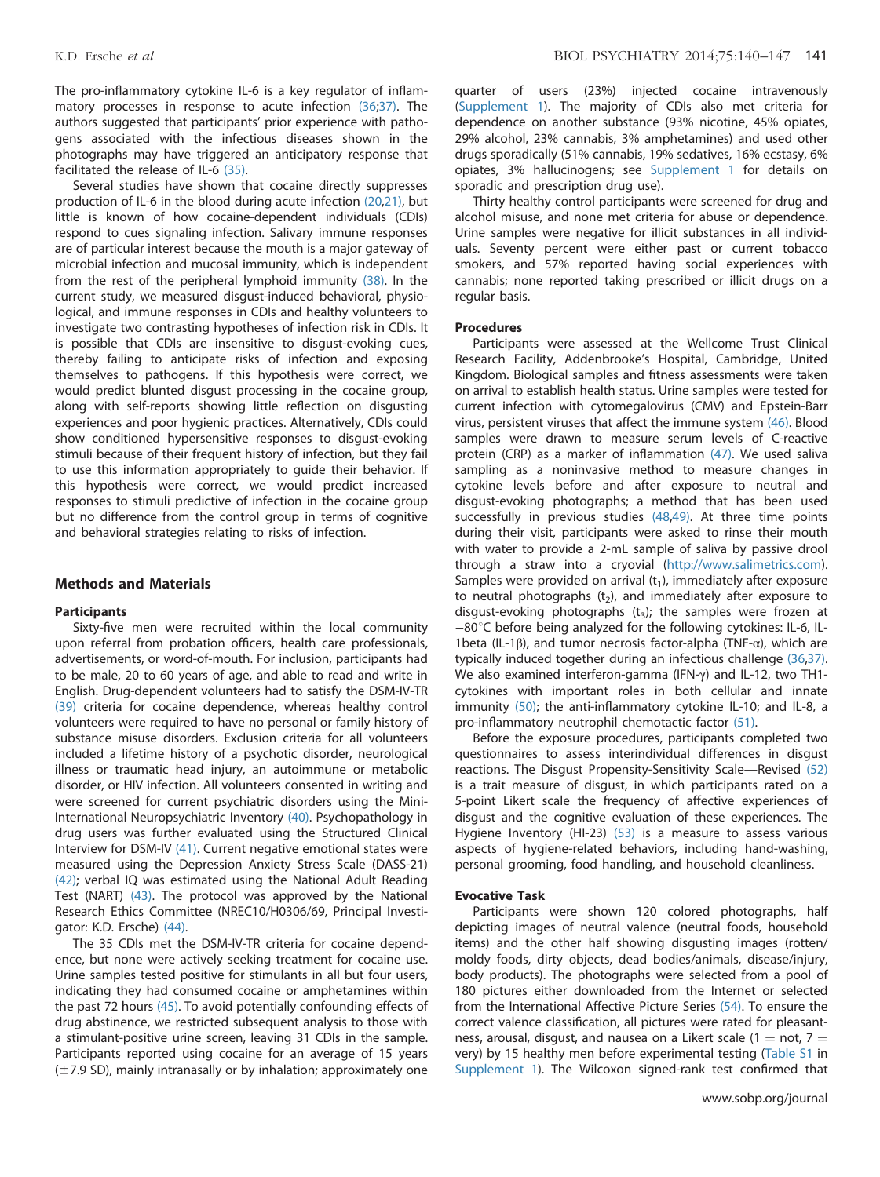The pro-inflammatory cytokine IL-6 is a key regulator of inflammatory processes in response to acute infection [\(36](#page-6-0);[37\).](#page-6-0) The authors suggested that participants' prior experience with pathogens associated with the infectious diseases shown in the photographs may have triggered an anticipatory response that facilitated the release of IL-6 [\(35\)](#page-6-0).

Several studies have shown that cocaine directly suppresses production of IL-6 in the blood during acute infection [\(20,21\)](#page-6-0), but little is known of how cocaine-dependent individuals (CDIs) respond to cues signaling infection. Salivary immune responses are of particular interest because the mouth is a major gateway of microbial infection and mucosal immunity, which is independent from the rest of the peripheral lymphoid immunity [\(38\).](#page-6-0) In the current study, we measured disgust-induced behavioral, physiological, and immune responses in CDIs and healthy volunteers to investigate two contrasting hypotheses of infection risk in CDIs. It is possible that CDIs are insensitive to disgust-evoking cues, thereby failing to anticipate risks of infection and exposing themselves to pathogens. If this hypothesis were correct, we would predict blunted disgust processing in the cocaine group, along with self-reports showing little reflection on disgusting experiences and poor hygienic practices. Alternatively, CDIs could show conditioned hypersensitive responses to disgust-evoking stimuli because of their frequent history of infection, but they fail to use this information appropriately to guide their behavior. If this hypothesis were correct, we would predict increased responses to stimuli predictive of infection in the cocaine group but no difference from the control group in terms of cognitive and behavioral strategies relating to risks of infection.

# Methods and Materials

#### **Participants**

Sixty-five men were recruited within the local community upon referral from probation officers, health care professionals, advertisements, or word-of-mouth. For inclusion, participants had to be male, 20 to 60 years of age, and able to read and write in English. Drug-dependent volunteers had to satisfy the DSM-IV-TR [\(39\)](#page-6-0) criteria for cocaine dependence, whereas healthy control volunteers were required to have no personal or family history of substance misuse disorders. Exclusion criteria for all volunteers included a lifetime history of a psychotic disorder, neurological illness or traumatic head injury, an autoimmune or metabolic disorder, or HIV infection. All volunteers consented in writing and were screened for current psychiatric disorders using the Mini-International Neuropsychiatric Inventory [\(40\).](#page-6-0) Psychopathology in drug users was further evaluated using the Structured Clinical Interview for DSM-IV [\(41\).](#page-6-0) Current negative emotional states were measured using the Depression Anxiety Stress Scale (DASS-21) [\(42\);](#page-6-0) verbal IQ was estimated using the National Adult Reading Test (NART) [\(43\)](#page-6-0). The protocol was approved by the National Research Ethics Committee (NREC10/H0306/69, Principal Investigator: K.D. Ersche) [\(44\)](#page-6-0).

The 35 CDIs met the DSM-IV-TR criteria for cocaine dependence, but none were actively seeking treatment for cocaine use. Urine samples tested positive for stimulants in all but four users, indicating they had consumed cocaine or amphetamines within the past 72 hours [\(45\).](#page-6-0) To avoid potentially confounding effects of drug abstinence, we restricted subsequent analysis to those with a stimulant-positive urine screen, leaving 31 CDIs in the sample. Participants reported using cocaine for an average of 15 years  $(\pm 7.9$  SD), mainly intranasally or by inhalation; approximately one

quarter of users (23%) injected cocaine intravenously [\(Supplement 1\)](#page-5-0). The majority of CDIs also met criteria for dependence on another substance (93% nicotine, 45% opiates, 29% alcohol, 23% cannabis, 3% amphetamines) and used other drugs sporadically (51% cannabis, 19% sedatives, 16% ecstasy, 6% opiates, 3% hallucinogens; see [Supplement 1](#page-5-0) for details on sporadic and prescription drug use).

Thirty healthy control participants were screened for drug and alcohol misuse, and none met criteria for abuse or dependence. Urine samples were negative for illicit substances in all individuals. Seventy percent were either past or current tobacco smokers, and 57% reported having social experiences with cannabis; none reported taking prescribed or illicit drugs on a regular basis.

#### Procedures

Participants were assessed at the Wellcome Trust Clinical Research Facility, Addenbrooke's Hospital, Cambridge, United Kingdom. Biological samples and fitness assessments were taken on arrival to establish health status. Urine samples were tested for current infection with cytomegalovirus (CMV) and Epstein-Barr virus, persistent viruses that affect the immune system [\(46\).](#page-6-0) Blood samples were drawn to measure serum levels of C-reactive protein (CRP) as a marker of inflammation [\(47\).](#page-6-0) We used saliva sampling as a noninvasive method to measure changes in cytokine levels before and after exposure to neutral and disgust-evoking photographs; a method that has been used successfully in previous studies [\(48,49\).](#page-6-0) At three time points during their visit, participants were asked to rinse their mouth with water to provide a 2-mL sample of saliva by passive drool through a straw into a cryovial (<http://www.salimetrics.com>). Samples were provided on arrival  $(t_1)$ , immediately after exposure to neutral photographs  $(t_2)$ , and immediately after exposure to disgust-evoking photographs  $(t_3)$ ; the samples were frozen at −80°C before being analyzed for the following cytokines: IL-6, IL-1beta (IL-1β), and tumor necrosis factor-alpha (TNF-α), which are typically induced together during an infectious challenge [\(36,37\).](#page-6-0) We also examined interferon-gamma (IFN-γ) and IL-12, two TH1 cytokines with important roles in both cellular and innate immunity [\(50\);](#page-6-0) the anti-inflammatory cytokine IL-10; and IL-8, a pro-inflammatory neutrophil chemotactic factor [\(51\).](#page-6-0)

Before the exposure procedures, participants completed two questionnaires to assess interindividual differences in disgust reactions. The Disgust Propensity-Sensitivity Scale—Revised [\(52\)](#page-6-0) is a trait measure of disgust, in which participants rated on a 5-point Likert scale the frequency of affective experiences of disgust and the cognitive evaluation of these experiences. The Hygiene Inventory (HI-23) [\(53\)](#page-6-0) is a measure to assess various aspects of hygiene-related behaviors, including hand-washing, personal grooming, food handling, and household cleanliness.

# Evocative Task

Participants were shown 120 colored photographs, half depicting images of neutral valence (neutral foods, household items) and the other half showing disgusting images (rotten/ moldy foods, dirty objects, dead bodies/animals, disease/injury, body products). The photographs were selected from a pool of 180 pictures either downloaded from the Internet or selected from the International Affective Picture Series [\(54\)](#page-6-0). To ensure the correct valence classification, all pictures were rated for pleasantness, arousal, disgust, and nausea on a Likert scale (1 = not, 7 = very) by 15 healthy men before experimental testing ([Table S1](#page-5-0) in [Supplement 1\)](#page-5-0). The Wilcoxon signed-rank test confirmed that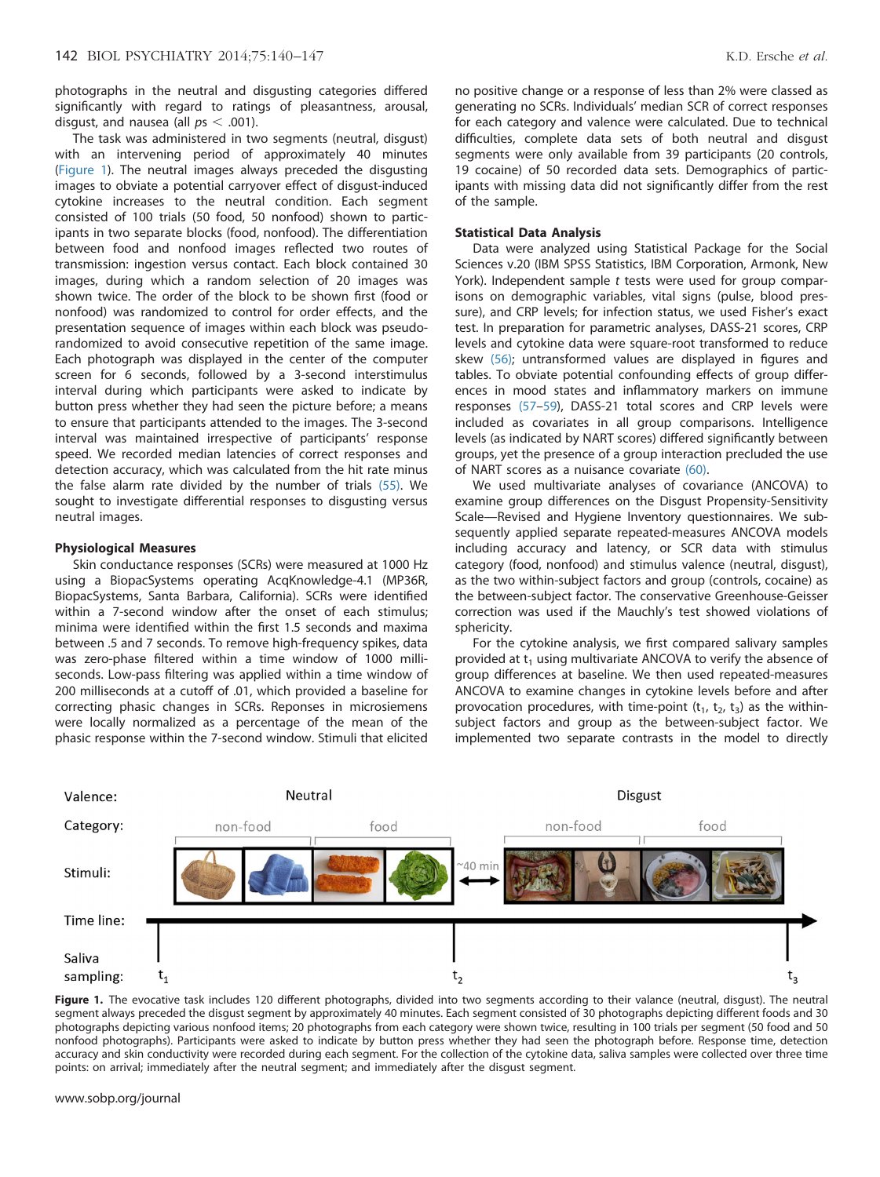photographs in the neutral and disgusting categories differed significantly with regard to ratings of pleasantness, arousal, disgust, and nausea (all  $ps < .001$ ).

The task was administered in two segments (neutral, disgust) with an intervening period of approximately 40 minutes (Figure 1). The neutral images always preceded the disgusting images to obviate a potential carryover effect of disgust-induced cytokine increases to the neutral condition. Each segment consisted of 100 trials (50 food, 50 nonfood) shown to participants in two separate blocks (food, nonfood). The differentiation between food and nonfood images reflected two routes of transmission: ingestion versus contact. Each block contained 30 images, during which a random selection of 20 images was shown twice. The order of the block to be shown first (food or nonfood) was randomized to control for order effects, and the presentation sequence of images within each block was pseudorandomized to avoid consecutive repetition of the same image. Each photograph was displayed in the center of the computer screen for 6 seconds, followed by a 3-second interstimulus interval during which participants were asked to indicate by button press whether they had seen the picture before; a means to ensure that participants attended to the images. The 3-second interval was maintained irrespective of participants' response speed. We recorded median latencies of correct responses and detection accuracy, which was calculated from the hit rate minus the false alarm rate divided by the number of trials [\(55\)](#page-6-0). We sought to investigate differential responses to disgusting versus neutral images.

# Physiological Measures

Skin conductance responses (SCRs) were measured at 1000 Hz using a BiopacSystems operating AcqKnowledge-4.1 (MP36R, BiopacSystems, Santa Barbara, California). SCRs were identified within a 7-second window after the onset of each stimulus; minima were identified within the first 1.5 seconds and maxima between .5 and 7 seconds. To remove high-frequency spikes, data was zero-phase filtered within a time window of 1000 milliseconds. Low-pass filtering was applied within a time window of 200 milliseconds at a cutoff of .01, which provided a baseline for correcting phasic changes in SCRs. Reponses in microsiemens were locally normalized as a percentage of the mean of the phasic response within the 7-second window. Stimuli that elicited no positive change or a response of less than 2% were classed as generating no SCRs. Individuals' median SCR of correct responses for each category and valence were calculated. Due to technical difficulties, complete data sets of both neutral and disgust segments were only available from 39 participants (20 controls, 19 cocaine) of 50 recorded data sets. Demographics of participants with missing data did not significantly differ from the rest of the sample.

# Statistical Data Analysis

Data were analyzed using Statistical Package for the Social Sciences v.20 (IBM SPSS Statistics, IBM Corporation, Armonk, New York). Independent sample t tests were used for group comparisons on demographic variables, vital signs (pulse, blood pressure), and CRP levels; for infection status, we used Fisher's exact test. In preparation for parametric analyses, DASS-21 scores, CRP levels and cytokine data were square-root transformed to reduce skew [\(56\)](#page-6-0); untransformed values are displayed in figures and tables. To obviate potential confounding effects of group differences in mood states and inflammatory markers on immune responses [\(57](#page-6-0)–[59](#page-6-0)), DASS-21 total scores and CRP levels were included as covariates in all group comparisons. Intelligence levels (as indicated by NART scores) differed significantly between groups, yet the presence of a group interaction precluded the use of NART scores as a nuisance covariate [\(60\).](#page-6-0)

We used multivariate analyses of covariance (ANCOVA) to examine group differences on the Disgust Propensity-Sensitivity Scale—Revised and Hygiene Inventory questionnaires. We subsequently applied separate repeated-measures ANCOVA models including accuracy and latency, or SCR data with stimulus category (food, nonfood) and stimulus valence (neutral, disgust), as the two within-subject factors and group (controls, cocaine) as the between-subject factor. The conservative Greenhouse-Geisser correction was used if the Mauchly's test showed violations of sphericity.

For the cytokine analysis, we first compared salivary samples provided at  $t_1$  using multivariate ANCOVA to verify the absence of group differences at baseline. We then used repeated-measures ANCOVA to examine changes in cytokine levels before and after provocation procedures, with time-point  $(t_1, t_2, t_3)$  as the withinsubject factors and group as the between-subject factor. We implemented two separate contrasts in the model to directly



Figure 1. The evocative task includes 120 different photographs, divided into two segments according to their valance (neutral, disgust). The neutral segment always preceded the disgust segment by approximately 40 minutes. Each segment consisted of 30 photographs depicting different foods and 30 photographs depicting various nonfood items; 20 photographs from each category were shown twice, resulting in 100 trials per segment (50 food and 50 nonfood photographs). Participants were asked to indicate by button press whether they had seen the photograph before. Response time, detection accuracy and skin conductivity were recorded during each segment. For the collection of the cytokine data, saliva samples were collected over three time points: on arrival; immediately after the neutral segment; and immediately after the disgust segment.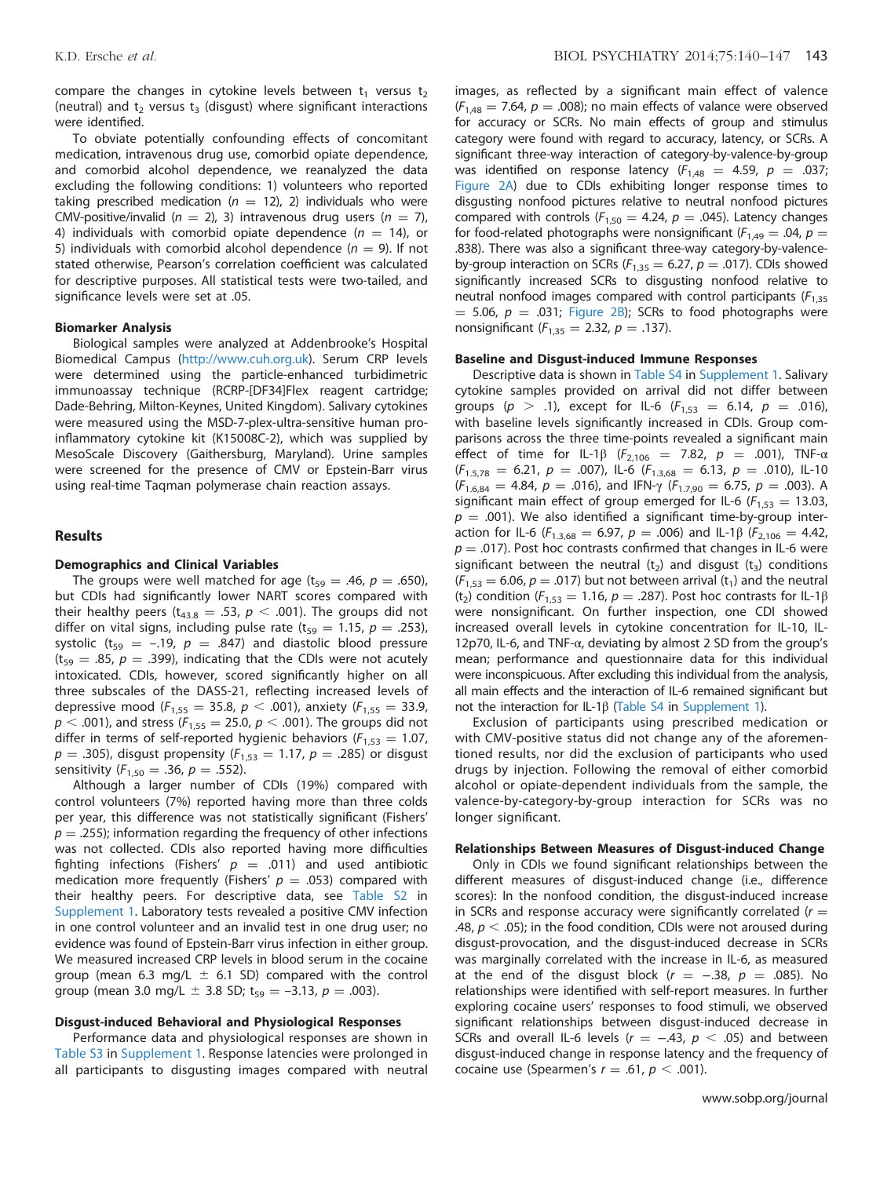compare the changes in cytokine levels between  $t_1$  versus  $t_2$ (neutral) and  $t_2$  versus  $t_3$  (disgust) where significant interactions were identified.

To obviate potentially confounding effects of concomitant medication, intravenous drug use, comorbid opiate dependence, and comorbid alcohol dependence, we reanalyzed the data excluding the following conditions: 1) volunteers who reported taking prescribed medication ( $n = 12$ ), 2) individuals who were CMV-positive/invalid ( $n = 2$ ), 3) intravenous drug users ( $n = 7$ ), 4) individuals with comorbid opiate dependence ( $n = 14$ ), or 5) individuals with comorbid alcohol dependence ( $n = 9$ ). If not stated otherwise, Pearson's correlation coefficient was calculated for descriptive purposes. All statistical tests were two-tailed, and significance levels were set at .05.

#### Biomarker Analysis

Biological samples were analyzed at Addenbrooke's Hospital Biomedical Campus (<http://www.cuh.org.uk>). Serum CRP levels were determined using the particle-enhanced turbidimetric immunoassay technique (RCRP-[DF34]Flex reagent cartridge; Dade-Behring, Milton-Keynes, United Kingdom). Salivary cytokines were measured using the MSD-7-plex-ultra-sensitive human proinflammatory cytokine kit (K15008C-2), which was supplied by MesoScale Discovery (Gaithersburg, Maryland). Urine samples were screened for the presence of CMV or Epstein-Barr virus using real-time Taqman polymerase chain reaction assays.

#### Results

# Demographics and Clinical Variables

The groups were well matched for age ( $t_{59} = .46$ ,  $p = .650$ ), but CDIs had significantly lower NART scores compared with their healthy peers ( $t_{43.8} = .53$ ,  $p < .001$ ). The groups did not differ on vital signs, including pulse rate (t<sub>59</sub> = 1.15,  $p = .253$ ), systolic (t<sub>59</sub> = -.19,  $p = .847$ ) and diastolic blood pressure  $(t_{59} = .85, p = .399)$ , indicating that the CDIs were not acutely intoxicated. CDIs, however, scored significantly higher on all three subscales of the DASS-21, reflecting increased levels of depressive mood ( $F_{1,55} = 35.8$ ,  $p < .001$ ), anxiety ( $F_{1,55} = 33.9$ ,  $p < .001$ ), and stress ( $F_{1,55} = 25.0$ ,  $p < .001$ ). The groups did not differ in terms of self-reported hygienic behaviors ( $F_{1,53} = 1.07$ ,  $p = .305$ ), disgust propensity ( $F_{1,53} = 1.17$ ,  $p = .285$ ) or disgust sensitivity ( $F_{1,50} = .36$ ,  $p = .552$ ).

Although a larger number of CDIs (19%) compared with control volunteers (7%) reported having more than three colds per year, this difference was not statistically significant (Fishers'  $p = .255$ ); information regarding the frequency of other infections was not collected. CDIs also reported having more difficulties fighting infections (Fishers'  $p = .011$ ) and used antibiotic medication more frequently (Fishers'  $p = .053$ ) compared with their healthy peers. For descriptive data, see [Table S2](#page-5-0) in [Supplement 1.](#page-5-0) Laboratory tests revealed a positive CMV infection in one control volunteer and an invalid test in one drug user; no evidence was found of Epstein-Barr virus infection in either group. We measured increased CRP levels in blood serum in the cocaine group (mean 6.3 mg/L  $\pm$  6.1 SD) compared with the control group (mean 3.0 mg/L  $\pm$  3.8 SD; t<sub>59</sub> = -3.13, p = .003).

#### Disgust-induced Behavioral and Physiological Responses

Performance data and physiological responses are shown in [Table S3](#page-5-0) in [Supplement 1](#page-5-0). Response latencies were prolonged in all participants to disgusting images compared with neutral images, as reflected by a significant main effect of valence  $(F<sub>1,48</sub> = 7.64, p = .008)$ ; no main effects of valance were observed for accuracy or SCRs. No main effects of group and stimulus category were found with regard to accuracy, latency, or SCRs. A significant three-way interaction of category-by-valence-by-group was identified on response latency ( $F_{1,48} = 4.59$ ,  $p = .037$ ; [Figure 2A](#page-4-0)) due to CDIs exhibiting longer response times to disgusting nonfood pictures relative to neutral nonfood pictures compared with controls ( $F_{1,50} = 4.24$ ,  $p = .045$ ). Latency changes for food-related photographs were nonsignificant ( $F_{1,49} = .04$ ,  $p =$ .838). There was also a significant three-way category-by-valenceby-group interaction on SCRs ( $F_{1,35} = 6.27$ ,  $p = .017$ ). CDIs showed significantly increased SCRs to disgusting nonfood relative to neutral nonfood images compared with control participants ( $F_{1,35}$ )  $=$  5.06,  $p = .031$ ; [Figure 2B](#page-4-0)); SCRs to food photographs were nonsignificant ( $F_{1,35} = 2.32$ ,  $p = .137$ ).

#### Baseline and Disgust-induced Immune Responses

Descriptive data is shown in [Table S4](#page-5-0) in [Supplement 1.](#page-5-0) Salivary cytokine samples provided on arrival did not differ between groups ( $p > .1$ ), except for IL-6 ( $F_{1,53} = 6.14$ ,  $p = .016$ ), with baseline levels significantly increased in CDIs. Group comparisons across the three time-points revealed a significant main effect of time for IL-1β ( $F_{2,106}$  = 7.82,  $p$  = .001), TNF-α  $(F_{1.5,78} = 6.21, p = .007)$ , IL-6  $(F_{1.3,68} = 6.13, p = .010)$ , IL-10  $(F<sub>1.6,84</sub> = 4.84, p = .016)$ , and IFN- $\gamma$   $(F<sub>1.7,90</sub> = 6.75, p = .003)$ . A significant main effect of group emerged for IL-6 ( $F_{1,53}$  = 13.03,  $p = .001$ ). We also identified a significant time-by-group interaction for IL-6 ( $F_{1,3,68} = 6.97$ ,  $p = .006$ ) and IL-1 $\beta$  ( $F_{2,106} = 4.42$ ,  $p = .017$ ). Post hoc contrasts confirmed that changes in IL-6 were significant between the neutral  $(t_2)$  and disgust  $(t_3)$  conditions  $(F<sub>1,53</sub> = 6.06, p = .017)$  but not between arrival (t<sub>1</sub>) and the neutral (t<sub>2</sub>) condition ( $F_{1,53} = 1.16$ ,  $p = .287$ ). Post hoc contrasts for IL-1 $\beta$ were nonsignificant. On further inspection, one CDI showed increased overall levels in cytokine concentration for IL-10, IL-12p70, IL-6, and TNF- $\alpha$ , deviating by almost 2 SD from the group's mean; performance and questionnaire data for this individual were inconspicuous. After excluding this individual from the analysis, all main effects and the interaction of IL-6 remained significant but not the interaction for IL-1β [\(Table S4](#page-5-0) in [Supplement 1\)](#page-5-0).

Exclusion of participants using prescribed medication or with CMV-positive status did not change any of the aforementioned results, nor did the exclusion of participants who used drugs by injection. Following the removal of either comorbid alcohol or opiate-dependent individuals from the sample, the valence-by-category-by-group interaction for SCRs was no longer significant.

# Relationships Between Measures of Disgust-induced Change

Only in CDIs we found significant relationships between the different measures of disgust-induced change (i.e., difference scores): In the nonfood condition, the disgust-induced increase in SCRs and response accuracy were significantly correlated ( $r =$ .48,  $p <$  .05); in the food condition, CDIs were not aroused during disgust-provocation, and the disgust-induced decrease in SCRs was marginally correlated with the increase in IL-6, as measured at the end of the disgust block ( $r = -.38$ ,  $p = .085$ ). No relationships were identified with self-report measures. In further exploring cocaine users' responses to food stimuli, we observed significant relationships between disgust-induced decrease in SCRs and overall IL-6 levels ( $r = -.43$ ,  $p < .05$ ) and between disgust-induced change in response latency and the frequency of cocaine use (Spearmen's  $r = .61$ ,  $p < .001$ ).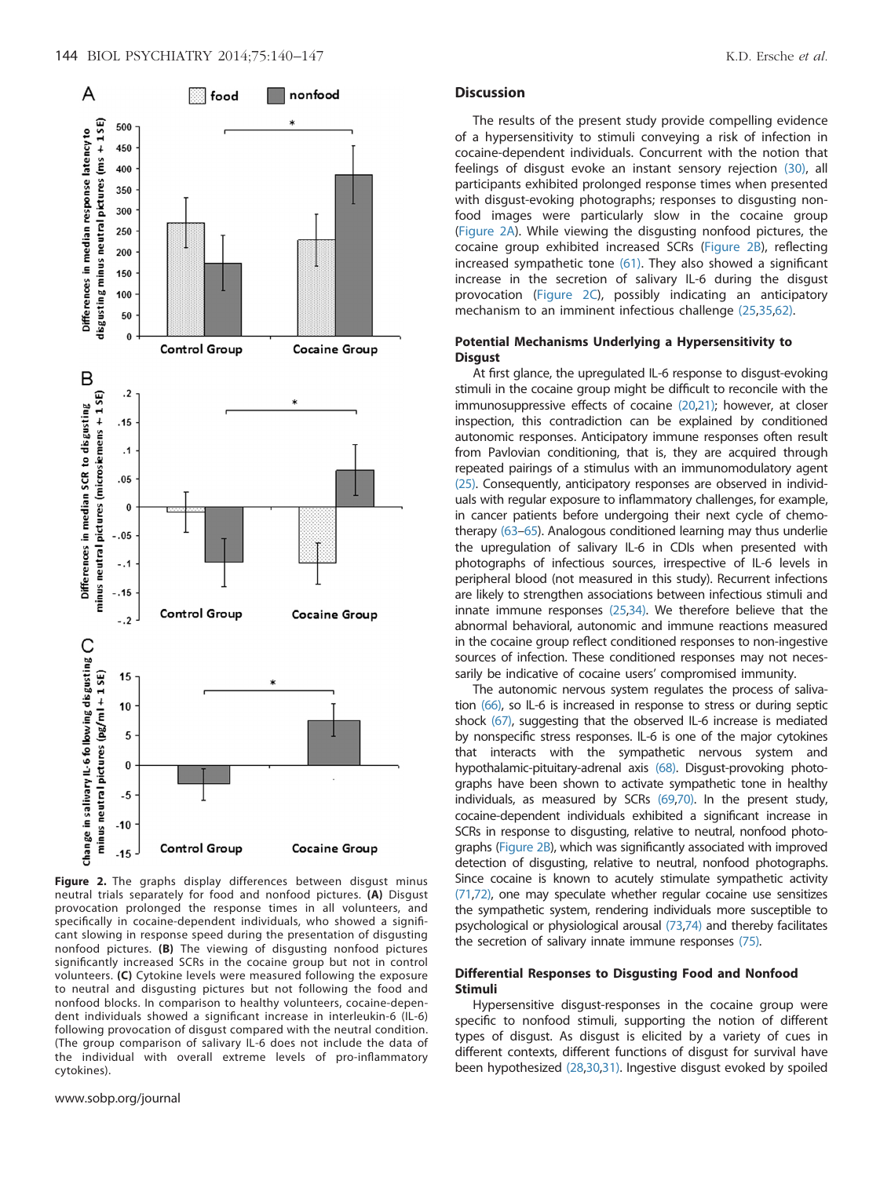<span id="page-4-0"></span>

Figure 2. The graphs display differences between disgust minus neutral trials separately for food and nonfood pictures. (A) Disgust provocation prolonged the response times in all volunteers, and specifically in cocaine-dependent individuals, who showed a significant slowing in response speed during the presentation of disgusting nonfood pictures. (B) The viewing of disgusting nonfood pictures significantly increased SCRs in the cocaine group but not in control volunteers. (C) Cytokine levels were measured following the exposure to neutral and disgusting pictures but not following the food and nonfood blocks. In comparison to healthy volunteers, cocaine-dependent individuals showed a significant increase in interleukin-6 (IL-6) following provocation of disgust compared with the neutral condition. (The group comparison of salivary IL-6 does not include the data of the individual with overall extreme levels of pro-inflammatory cytokines).

www.sobp.org/journal

#### **Discussion**

The results of the present study provide compelling evidence of a hypersensitivity to stimuli conveying a risk of infection in cocaine-dependent individuals. Concurrent with the notion that feelings of disgust evoke an instant sensory rejection [\(30\),](#page-6-0) all participants exhibited prolonged response times when presented with disgust-evoking photographs; responses to disgusting nonfood images were particularly slow in the cocaine group (Figure 2A). While viewing the disgusting nonfood pictures, the cocaine group exhibited increased SCRs (Figure 2B), reflecting increased sympathetic tone [\(61\)](#page-6-0). They also showed a significant increase in the secretion of salivary IL-6 during the disgust provocation (Figure 2C), possibly indicating an anticipatory mechanism to an imminent infectious challenge [\(25,35,62\)](#page-6-0).

# Potential Mechanisms Underlying a Hypersensitivity to **Disqust**

At first glance, the upregulated IL-6 response to disgust-evoking stimuli in the cocaine group might be difficult to reconcile with the immunosuppressive effects of cocaine [\(20,21\)](#page-6-0); however, at closer inspection, this contradiction can be explained by conditioned autonomic responses. Anticipatory immune responses often result from Pavlovian conditioning, that is, they are acquired through repeated pairings of a stimulus with an immunomodulatory agent [\(25\)](#page-6-0). Consequently, anticipatory responses are observed in individuals with regular exposure to inflammatory challenges, for example, in cancer patients before undergoing their next cycle of chemotherapy [\(63](#page-6-0)–[65\)](#page-7-0). Analogous conditioned learning may thus underlie the upregulation of salivary IL-6 in CDIs when presented with photographs of infectious sources, irrespective of IL-6 levels in peripheral blood (not measured in this study). Recurrent infections are likely to strengthen associations between infectious stimuli and innate immune responses [\(25,34\)](#page-6-0). We therefore believe that the abnormal behavioral, autonomic and immune reactions measured in the cocaine group reflect conditioned responses to non-ingestive sources of infection. These conditioned responses may not necessarily be indicative of cocaine users' compromised immunity.

The autonomic nervous system regulates the process of salivation [\(66\)](#page-7-0), so IL-6 is increased in response to stress or during septic shock [\(67\)](#page-7-0), suggesting that the observed IL-6 increase is mediated by nonspecific stress responses. IL-6 is one of the major cytokines that interacts with the sympathetic nervous system and hypothalamic-pituitary-adrenal axis [\(68\)](#page-7-0). Disgust-provoking photographs have been shown to activate sympathetic tone in healthy individuals, as measured by SCRs [\(69,70\)](#page-7-0). In the present study, cocaine-dependent individuals exhibited a significant increase in SCRs in response to disgusting, relative to neutral, nonfood photographs (Figure 2B), which was significantly associated with improved detection of disgusting, relative to neutral, nonfood photographs. Since cocaine is known to acutely stimulate sympathetic activity [\(71,72\)](#page-7-0), one may speculate whether regular cocaine use sensitizes the sympathetic system, rendering individuals more susceptible to psychological or physiological arousal [\(73,74\)](#page-7-0) and thereby facilitates the secretion of salivary innate immune responses [\(75\).](#page-7-0)

# Differential Responses to Disgusting Food and Nonfood Stimuli

Hypersensitive disgust-responses in the cocaine group were specific to nonfood stimuli, supporting the notion of different types of disgust. As disgust is elicited by a variety of cues in different contexts, different functions of disgust for survival have been hypothesized [\(28](#page-6-0),[30,31\).](#page-6-0) Ingestive disgust evoked by spoiled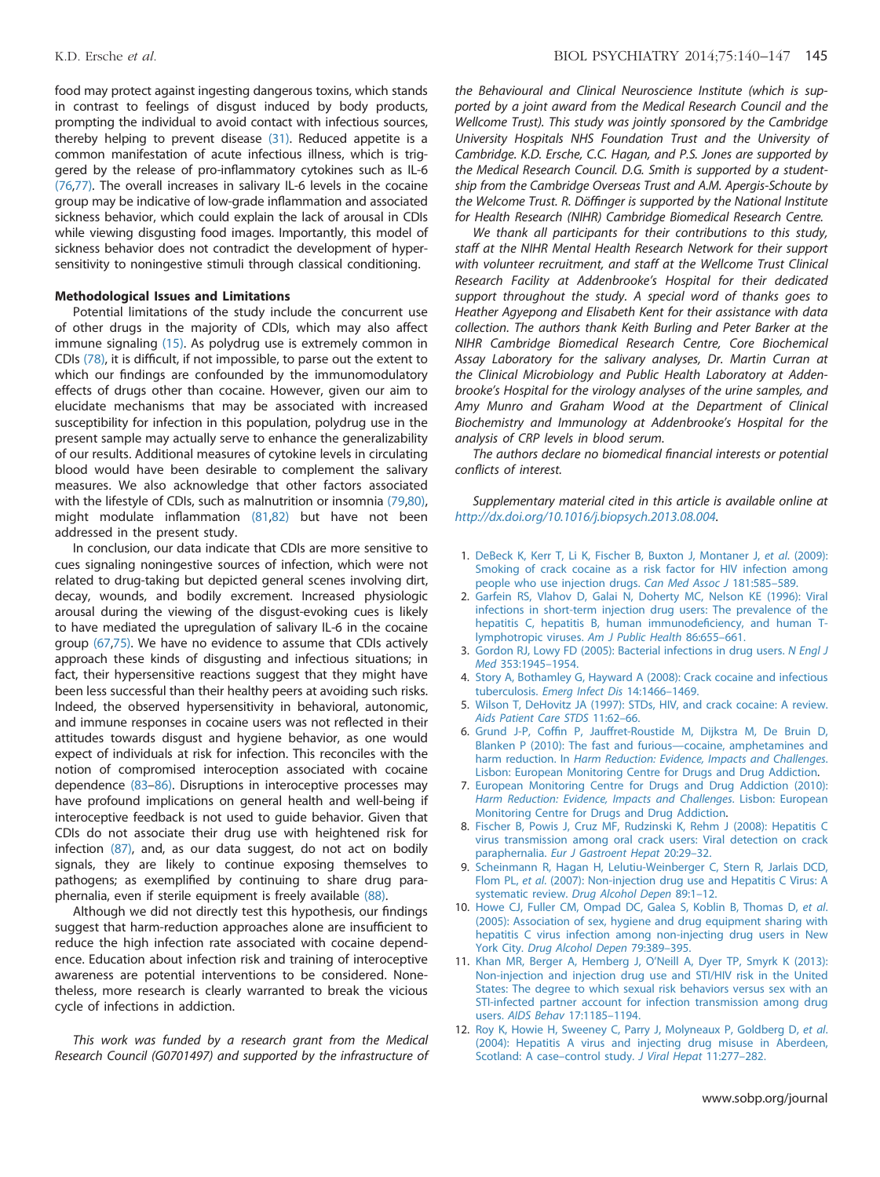<span id="page-5-0"></span>food may protect against ingesting dangerous toxins, which stands in contrast to feelings of disgust induced by body products, prompting the individual to avoid contact with infectious sources, thereby helping to prevent disease [\(31\)](#page-6-0). Reduced appetite is a common manifestation of acute infectious illness, which is triggered by the release of pro-inflammatory cytokines such as IL-6 [\(76](#page-7-0),[77\)](#page-7-0). The overall increases in salivary IL-6 levels in the cocaine group may be indicative of low-grade inflammation and associated sickness behavior, which could explain the lack of arousal in CDIs while viewing disgusting food images. Importantly, this model of sickness behavior does not contradict the development of hypersensitivity to noningestive stimuli through classical conditioning.

#### Methodological Issues and Limitations

Potential limitations of the study include the concurrent use of other drugs in the majority of CDIs, which may also affect immune signaling [\(15\)](#page-6-0). As polydrug use is extremely common in CDIs [\(78\),](#page-7-0) it is difficult, if not impossible, to parse out the extent to which our findings are confounded by the immunomodulatory effects of drugs other than cocaine. However, given our aim to elucidate mechanisms that may be associated with increased susceptibility for infection in this population, polydrug use in the present sample may actually serve to enhance the generalizability of our results. Additional measures of cytokine levels in circulating blood would have been desirable to complement the salivary measures. We also acknowledge that other factors associated with the lifestyle of CDIs, such as malnutrition or insomnia [\(79,80\),](#page-7-0) might modulate inflammation [\(81,82\)](#page-7-0) but have not been addressed in the present study.

In conclusion, our data indicate that CDIs are more sensitive to cues signaling noningestive sources of infection, which were not related to drug-taking but depicted general scenes involving dirt, decay, wounds, and bodily excrement. Increased physiologic arousal during the viewing of the disgust-evoking cues is likely to have mediated the upregulation of salivary IL-6 in the cocaine group [\(67,75\).](#page-7-0) We have no evidence to assume that CDIs actively approach these kinds of disgusting and infectious situations; in fact, their hypersensitive reactions suggest that they might have been less successful than their healthy peers at avoiding such risks. Indeed, the observed hypersensitivity in behavioral, autonomic, and immune responses in cocaine users was not reflected in their attitudes towards disgust and hygiene behavior, as one would expect of individuals at risk for infection. This reconciles with the notion of compromised interoception associated with cocaine dependence [\(83](#page-7-0)–[86\)](#page-7-0). Disruptions in interoceptive processes may have profound implications on general health and well-being if interoceptive feedback is not used to guide behavior. Given that CDIs do not associate their drug use with heightened risk for infection [\(87\),](#page-7-0) and, as our data suggest, do not act on bodily signals, they are likely to continue exposing themselves to pathogens; as exemplified by continuing to share drug paraphernalia, even if sterile equipment is freely available [\(88\)](#page-7-0).

Although we did not directly test this hypothesis, our findings suggest that harm-reduction approaches alone are insufficient to reduce the high infection rate associated with cocaine dependence. Education about infection risk and training of interoceptive awareness are potential interventions to be considered. Nonetheless, more research is clearly warranted to break the vicious cycle of infections in addiction.

This work was funded by a research grant from the Medical Research Council (G0701497) and supported by the infrastructure of the Behavioural and Clinical Neuroscience Institute (which is supported by a joint award from the Medical Research Council and the Wellcome Trust). This study was jointly sponsored by the Cambridge University Hospitals NHS Foundation Trust and the University of Cambridge. K.D. Ersche, C.C. Hagan, and P.S. Jones are supported by the Medical Research Council. D.G. Smith is supported by a studentship from the Cambridge Overseas Trust and A.M. Apergis-Schoute by the Welcome Trust. R. Döffinger is supported by the National Institute for Health Research (NIHR) Cambridge Biomedical Research Centre.

We thank all participants for their contributions to this study, staff at the NIHR Mental Health Research Network for their support with volunteer recruitment, and staff at the Wellcome Trust Clinical Research Facility at Addenbrooke's Hospital for their dedicated support throughout the study. A special word of thanks goes to Heather Agyepong and Elisabeth Kent for their assistance with data collection. The authors thank Keith Burling and Peter Barker at the NIHR Cambridge Biomedical Research Centre, Core Biochemical Assay Laboratory for the salivary analyses, Dr. Martin Curran at the Clinical Microbiology and Public Health Laboratory at Addenbrooke's Hospital for the virology analyses of the urine samples, and Amy Munro and Graham Wood at the Department of Clinical Biochemistry and Immunology at Addenbrooke's Hospital for the analysis of CRP levels in blood serum.

The authors declare no biomedical financial interests or potential conflicts of interest.

Supplementary material cited in this article is available online at http://dx.doi.org/10.1016/j.biopsych.2013.08.004.

- 1. [DeBeck K, Kerr T, Li K, Fischer B, Buxton J, Montaner J,](http://refhub.elsevier.com/S0006-3223(13)00732-4/sbref0005) et al. (2009): [Smoking of crack cocaine as a risk factor for HIV infection among](http://refhub.elsevier.com/S0006-3223(13)00732-4/sbref0005) [people who use injection drugs.](http://refhub.elsevier.com/S0006-3223(13)00732-4/sbref0005) Can Med Assoc J 181:585–589.
- 2. [Garfein RS, Vlahov D, Galai N, Doherty MC, Nelson KE \(1996\): Viral](http://refhub.elsevier.com/S0006-3223(13)00732-4/sbref0010) [infections in short-term injection drug users: The prevalence of the](http://refhub.elsevier.com/S0006-3223(13)00732-4/sbref0010) [hepatitis C, hepatitis B, human immunode](http://refhub.elsevier.com/S0006-3223(13)00732-4/sbref0010)ficiency, and human T[lymphotropic viruses.](http://refhub.elsevier.com/S0006-3223(13)00732-4/sbref0010) Am J Public Health 86:655–661.
- 3. [Gordon RJ, Lowy FD \(2005\): Bacterial infections in drug users.](http://refhub.elsevier.com/S0006-3223(13)00732-4/sbref0015) N Engl J Med [353:1945](http://refhub.elsevier.com/S0006-3223(13)00732-4/sbref0015)–1954.
- 4. [Story A, Bothamley G, Hayward A \(2008\): Crack cocaine and infectious](http://refhub.elsevier.com/S0006-3223(13)00732-4/sbref0020) tuberculosis. [Emerg Infect Dis](http://refhub.elsevier.com/S0006-3223(13)00732-4/sbref0020) 14:1466–1469.
- 5. [Wilson T, DeHovitz JA \(1997\): STDs, HIV, and crack cocaine: A review.](http://refhub.elsevier.com/S0006-3223(13)00732-4/sbref0025) [Aids Patient Care STDS](http://refhub.elsevier.com/S0006-3223(13)00732-4/sbref0025) 11:62–66.
- 6. Grund J-P, Coffi[n P, Jauffret-Roustide M, Dijkstra M, De Bruin D,](http://refhub.elsevier.com/S0006-3223(13)00732-4/othref0005) [Blanken P \(2010\): The fast and furious](http://refhub.elsevier.com/S0006-3223(13)00732-4/othref0005)—cocaine, amphetamines and harm reduction. In [Harm Reduction: Evidence, Impacts and Challenges](http://refhub.elsevier.com/S0006-3223(13)00732-4/othref0005). [Lisbon: European Monitoring Centre for Drugs and Drug Addiction.](http://refhub.elsevier.com/S0006-3223(13)00732-4/othref0005)
- 7. [European Monitoring Centre for Drugs and Drug Addiction \(2010\):](http://refhub.elsevier.com/S0006-3223(13)00732-4/sbref0030) [Harm Reduction: Evidence, Impacts and Challenges](http://refhub.elsevier.com/S0006-3223(13)00732-4/sbref0030). Lisbon: European [Monitoring Centre for Drugs and Drug Addiction.](http://refhub.elsevier.com/S0006-3223(13)00732-4/sbref0030)
- 8. [Fischer B, Powis J, Cruz MF, Rudzinski K, Rehm J \(2008\): Hepatitis C](http://refhub.elsevier.com/S0006-3223(13)00732-4/sbref0035) [virus transmission among oral crack users: Viral detection on crack](http://refhub.elsevier.com/S0006-3223(13)00732-4/sbref0035) paraphernalia. [Eur J Gastroent Hepat](http://refhub.elsevier.com/S0006-3223(13)00732-4/sbref0035) 20:29–32.
- 9. [Scheinmann R, Hagan H, Lelutiu-Weinberger C, Stern R, Jarlais DCD,](http://refhub.elsevier.com/S0006-3223(13)00732-4/sbref0040) Flom PL, et al[. \(2007\): Non-injection drug use and Hepatitis C Virus: A](http://refhub.elsevier.com/S0006-3223(13)00732-4/sbref0040) systematic review. [Drug Alcohol Depen](http://refhub.elsevier.com/S0006-3223(13)00732-4/sbref0040) 89:1–12.
- 10. [Howe CJ, Fuller CM, Ompad DC, Galea S, Koblin B, Thomas D,](http://refhub.elsevier.com/S0006-3223(13)00732-4/sbref0045) et al. [\(2005\): Association of sex, hygiene and drug equipment sharing with](http://refhub.elsevier.com/S0006-3223(13)00732-4/sbref0045) [hepatitis C virus infection among non-injecting drug users in New](http://refhub.elsevier.com/S0006-3223(13)00732-4/sbref0045) York City. [Drug Alcohol Depen](http://refhub.elsevier.com/S0006-3223(13)00732-4/sbref0045) 79:389–395.
- 11. [Khan MR, Berger A, Hemberg J, O](http://refhub.elsevier.com/S0006-3223(13)00732-4/sbref0050)'Neill A, Dyer TP, Smyrk K (2013): [Non-injection and injection drug use and STI/HIV risk in the United](http://refhub.elsevier.com/S0006-3223(13)00732-4/sbref0050) [States: The degree to which sexual risk behaviors versus sex with an](http://refhub.elsevier.com/S0006-3223(13)00732-4/sbref0050) [STI-infected partner account for infection transmission among drug](http://refhub.elsevier.com/S0006-3223(13)00732-4/sbref0050) users. [AIDS Behav](http://refhub.elsevier.com/S0006-3223(13)00732-4/sbref0050) 17:1185–1194.
- 12. [Roy K, Howie H, Sweeney C, Parry J, Molyneaux P, Goldberg D,](http://refhub.elsevier.com/S0006-3223(13)00732-4/sbref0055) et al. [\(2004\): Hepatitis A virus and injecting drug misuse in Aberdeen,](http://refhub.elsevier.com/S0006-3223(13)00732-4/sbref0055) [Scotland: A case](http://refhub.elsevier.com/S0006-3223(13)00732-4/sbref0055)–control study. J Viral Hepat 11:277–282.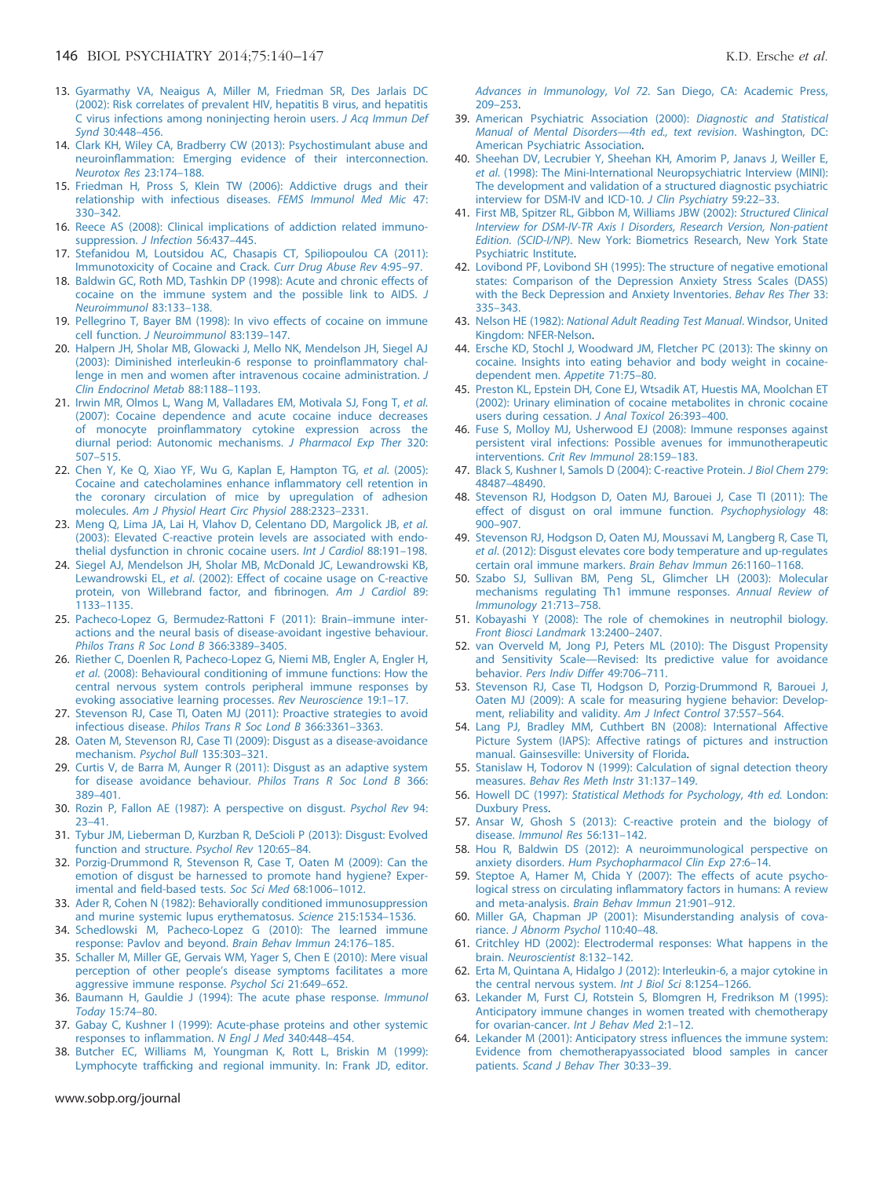- <span id="page-6-0"></span>13. [Gyarmathy VA, Neaigus A, Miller M, Friedman SR, Des Jarlais DC](http://refhub.elsevier.com/S0006-3223(13)00732-4/sbref0060) [\(2002\): Risk correlates of prevalent HIV, hepatitis B virus, and hepatitis](http://refhub.elsevier.com/S0006-3223(13)00732-4/sbref0060) [C virus infections among noninjecting heroin users.](http://refhub.elsevier.com/S0006-3223(13)00732-4/sbref0060) J Acq Immun Def Synd [30:448](http://refhub.elsevier.com/S0006-3223(13)00732-4/sbref0060)–456.
- 14. [Clark KH, Wiley CA, Bradberry CW \(2013\): Psychostimulant abuse and](http://refhub.elsevier.com/S0006-3223(13)00732-4/sbref0065) neuroinfl[ammation: Emerging evidence of their interconnection.](http://refhub.elsevier.com/S0006-3223(13)00732-4/sbref0065) [Neurotox Res](http://refhub.elsevier.com/S0006-3223(13)00732-4/sbref0065) 23:174–188.
- 15. [Friedman H, Pross S, Klein TW \(2006\): Addictive drugs and their](http://refhub.elsevier.com/S0006-3223(13)00732-4/sbref0070) [relationship with infectious diseases.](http://refhub.elsevier.com/S0006-3223(13)00732-4/sbref0070) FEMS Immunol Med Mic 47: 330–[342.](http://refhub.elsevier.com/S0006-3223(13)00732-4/sbref0070)
- 16. [Reece AS \(2008\): Clinical implications of addiction related immuno](http://refhub.elsevier.com/S0006-3223(13)00732-4/sbref0075)[suppression.](http://refhub.elsevier.com/S0006-3223(13)00732-4/sbref0075) *J Infection* 56:437-445.
- 17. [Stefanidou M, Loutsidou AC, Chasapis CT, Spiliopoulou CA \(2011\):](http://refhub.elsevier.com/S0006-3223(13)00732-4/sbref0080) [Immunotoxicity of Cocaine and Crack.](http://refhub.elsevier.com/S0006-3223(13)00732-4/sbref0080) Curr Drug Abuse Rev 4:95–97.
- 18. [Baldwin GC, Roth MD, Tashkin DP \(1998\): Acute and chronic effects of](http://refhub.elsevier.com/S0006-3223(13)00732-4/sbref0085) [cocaine on the immune system and the possible link to AIDS.](http://refhub.elsevier.com/S0006-3223(13)00732-4/sbref0085) J [Neuroimmunol](http://refhub.elsevier.com/S0006-3223(13)00732-4/sbref0085) 83:133–138.
- 19. [Pellegrino T, Bayer BM \(1998\): In vivo effects of cocaine on immune](http://refhub.elsevier.com/S0006-3223(13)00732-4/sbref0090) cell function. [J Neuroimmunol](http://refhub.elsevier.com/S0006-3223(13)00732-4/sbref0090) 83:139–147.
- 20. [Halpern JH, Sholar MB, Glowacki J, Mello NK, Mendelson JH, Siegel AJ](http://refhub.elsevier.com/S0006-3223(13)00732-4/sbref0095) [\(2003\): Diminished interleukin-6 response to proin](http://refhub.elsevier.com/S0006-3223(13)00732-4/sbref0095)flammatory chal[lenge in men and women after intravenous cocaine administration.](http://refhub.elsevier.com/S0006-3223(13)00732-4/sbref0095) J [Clin Endocrinol Metab](http://refhub.elsevier.com/S0006-3223(13)00732-4/sbref0095) 88:1188–1193.
- 21. [Irwin MR, Olmos L, Wang M, Valladares EM, Motivala SJ, Fong T,](http://refhub.elsevier.com/S0006-3223(13)00732-4/sbref0100) et al. [\(2007\): Cocaine dependence and acute cocaine induce decreases](http://refhub.elsevier.com/S0006-3223(13)00732-4/sbref0100) of monocyte proinfl[ammatory cytokine expression across the](http://refhub.elsevier.com/S0006-3223(13)00732-4/sbref0100) [diurnal period: Autonomic mechanisms.](http://refhub.elsevier.com/S0006-3223(13)00732-4/sbref0100) J Pharmacol Exp Ther 320: 507–[515.](http://refhub.elsevier.com/S0006-3223(13)00732-4/sbref0100)
- 22. [Chen Y, Ke Q, Xiao YF, Wu G, Kaplan E, Hampton TG,](http://refhub.elsevier.com/S0006-3223(13)00732-4/sbref0105) et al. (2005): [Cocaine and catecholamines enhance in](http://refhub.elsevier.com/S0006-3223(13)00732-4/sbref0105)flammatory cell retention in [the coronary circulation of mice by upregulation of adhesion](http://refhub.elsevier.com/S0006-3223(13)00732-4/sbref0105) molecules. [Am J Physiol Heart Circ Physiol](http://refhub.elsevier.com/S0006-3223(13)00732-4/sbref0105) 288:2323–2331.
- 23. [Meng Q, Lima JA, Lai H, Vlahov D, Celentano DD, Margolick JB,](http://refhub.elsevier.com/S0006-3223(13)00732-4/sbref0110) et al. [\(2003\): Elevated C-reactive protein levels are associated with endo](http://refhub.elsevier.com/S0006-3223(13)00732-4/sbref0110)[thelial dysfunction in chronic cocaine users.](http://refhub.elsevier.com/S0006-3223(13)00732-4/sbref0110) Int J Cardiol 88:191–198.
- 24. [Siegel AJ, Mendelson JH, Sholar MB, McDonald JC, Lewandrowski KB,](http://refhub.elsevier.com/S0006-3223(13)00732-4/sbref0115) Lewandrowski EL, et al[. \(2002\): Effect of cocaine usage on C-reactive](http://refhub.elsevier.com/S0006-3223(13)00732-4/sbref0115) [protein, von Willebrand factor, and](http://refhub.elsevier.com/S0006-3223(13)00732-4/sbref0115) fibrinogen. Am J Cardiol 89: 1133–[1135.](http://refhub.elsevier.com/S0006-3223(13)00732-4/sbref0115)
- 25. [Pacheco-Lopez G, Bermudez-Rattoni F \(2011\): Brain](http://refhub.elsevier.com/S0006-3223(13)00732-4/sbref0120)–immune inter[actions and the neural basis of disease-avoidant ingestive behaviour.](http://refhub.elsevier.com/S0006-3223(13)00732-4/sbref0120) [Philos Trans R Soc Lond B](http://refhub.elsevier.com/S0006-3223(13)00732-4/sbref0120) 366:3389–3405.
- 26. [Riether C, Doenlen R, Pacheco-Lopez G, Niemi MB, Engler A, Engler H,](http://refhub.elsevier.com/S0006-3223(13)00732-4/sbref0125) et al[. \(2008\): Behavioural conditioning of immune functions: How the](http://refhub.elsevier.com/S0006-3223(13)00732-4/sbref0125) [central nervous system controls peripheral immune responses by](http://refhub.elsevier.com/S0006-3223(13)00732-4/sbref0125) [evoking associative learning processes.](http://refhub.elsevier.com/S0006-3223(13)00732-4/sbref0125) Rev Neuroscience 19:1–17.
- 27. [Stevenson RJ, Case TI, Oaten MJ \(2011\): Proactive strategies to avoid](http://refhub.elsevier.com/S0006-3223(13)00732-4/sbref0130) infectious disease. [Philos Trans R Soc Lond B](http://refhub.elsevier.com/S0006-3223(13)00732-4/sbref0130) 366:3361–3363.
- 28. [Oaten M, Stevenson RJ, Case TI \(2009\): Disgust as a disease-avoidance](http://refhub.elsevier.com/S0006-3223(13)00732-4/sbref0135) [mechanism.](http://refhub.elsevier.com/S0006-3223(13)00732-4/sbref0135) Psychol Bull 135:303–321.
- 29. [Curtis V, de Barra M, Aunger R \(2011\): Disgust as an adaptive system](http://refhub.elsevier.com/S0006-3223(13)00732-4/sbref0140) [for disease avoidance behaviour.](http://refhub.elsevier.com/S0006-3223(13)00732-4/sbref0140) Philos Trans R Soc Lond B 366: 389–[401.](http://refhub.elsevier.com/S0006-3223(13)00732-4/sbref0140)
- 30. [Rozin P, Fallon AE \(1987\): A perspective on disgust.](http://refhub.elsevier.com/S0006-3223(13)00732-4/sbref0145) Psychol Rev 94: 23–[41.](http://refhub.elsevier.com/S0006-3223(13)00732-4/sbref0145)
- 31. [Tybur JM, Lieberman D, Kurzban R, DeScioli P \(2013\): Disgust: Evolved](http://refhub.elsevier.com/S0006-3223(13)00732-4/sbref0150) [function and structure.](http://refhub.elsevier.com/S0006-3223(13)00732-4/sbref0150) Psychol Rev 120:65–84.
- 32. [Porzig-Drummond R, Stevenson R, Case T, Oaten M \(2009\): Can the](http://refhub.elsevier.com/S0006-3223(13)00732-4/sbref0155) [emotion of disgust be harnessed to promote hand hygiene? Exper](http://refhub.elsevier.com/S0006-3223(13)00732-4/sbref0155)imental and fi[eld-based tests.](http://refhub.elsevier.com/S0006-3223(13)00732-4/sbref0155) Soc Sci Med 68:1006–1012.
- 33. [Ader R, Cohen N \(1982\): Behaviorally conditioned immunosuppression](http://refhub.elsevier.com/S0006-3223(13)00732-4/sbref0160) [and murine systemic lupus erythematosus.](http://refhub.elsevier.com/S0006-3223(13)00732-4/sbref0160) Science 215:1534–1536.
- 34. [Schedlowski M, Pacheco-Lopez G \(2010\): The learned immune](http://refhub.elsevier.com/S0006-3223(13)00732-4/sbref0165) [response: Pavlov and beyond.](http://refhub.elsevier.com/S0006-3223(13)00732-4/sbref0165) Brain Behav Immun 24:176–185.
- 35. [Schaller M, Miller GE, Gervais WM, Yager S, Chen E \(2010\): Mere visual](http://refhub.elsevier.com/S0006-3223(13)00732-4/sbref0170) perception of other people'[s disease symptoms facilitates a more](http://refhub.elsevier.com/S0006-3223(13)00732-4/sbref0170) [aggressive immune response.](http://refhub.elsevier.com/S0006-3223(13)00732-4/sbref0170) Psychol Sci 21:649–652.
- 36. [Baumann H, Gauldie J \(1994\): The acute phase response.](http://refhub.elsevier.com/S0006-3223(13)00732-4/sbref0175) Immunol [Today](http://refhub.elsevier.com/S0006-3223(13)00732-4/sbref0175) 15:74–80.
- 37. [Gabay C, Kushner I \(1999\): Acute-phase proteins and other systemic](http://refhub.elsevier.com/S0006-3223(13)00732-4/sbref0180) [responses to in](http://refhub.elsevier.com/S0006-3223(13)00732-4/sbref0180)flammation. N Engl J Med 340:448–454.
- 38. [Butcher EC, Williams M, Youngman K, Rott L, Briskin M \(1999\):](http://refhub.elsevier.com/S0006-3223(13)00732-4/sbref0185) Lymphocyte traffi[cking and regional immunity. In: Frank JD, editor.](http://refhub.elsevier.com/S0006-3223(13)00732-4/sbref0185)

www.sobp.org/journal

Advances in Immunology, Vol 72[. San Diego, CA: Academic Press,](http://refhub.elsevier.com/S0006-3223(13)00732-4/sbref0185) 209–[253.](http://refhub.elsevier.com/S0006-3223(13)00732-4/sbref0185)

- 39. [American Psychiatric Association \(2000\):](http://refhub.elsevier.com/S0006-3223(13)00732-4/sbref0190) Diagnostic and Statistical [Manual of Mental Disorders](http://refhub.elsevier.com/S0006-3223(13)00732-4/sbref0190)—4th ed., text revision. Washington, DC: [American Psychiatric Association.](http://refhub.elsevier.com/S0006-3223(13)00732-4/sbref0190)
- 40. [Sheehan DV, Lecrubier Y, Sheehan KH, Amorim P, Janavs J, Weiller E,](http://refhub.elsevier.com/S0006-3223(13)00732-4/sbref0195) et al[. \(1998\): The Mini-International Neuropsychiatric Interview \(MINI\):](http://refhub.elsevier.com/S0006-3223(13)00732-4/sbref0195) [The development and validation of a structured diagnostic psychiatric](http://refhub.elsevier.com/S0006-3223(13)00732-4/sbref0195) [interview for DSM-IV and ICD-10.](http://refhub.elsevier.com/S0006-3223(13)00732-4/sbref0195) J Clin Psychiatry 59:22–33.
- 41. [First MB, Spitzer RL, Gibbon M, Williams JBW \(2002\):](http://refhub.elsevier.com/S0006-3223(13)00732-4/sbref0200) Structured Clinical [Interview for DSM-IV-TR Axis I Disorders, Research Version, Non-patient](http://refhub.elsevier.com/S0006-3223(13)00732-4/sbref0200) Edition. (SCID-I/NP)[. New York: Biometrics Research, New York State](http://refhub.elsevier.com/S0006-3223(13)00732-4/sbref0200) [Psychiatric Institute.](http://refhub.elsevier.com/S0006-3223(13)00732-4/sbref0200)
- 42. [Lovibond PF, Lovibond SH \(1995\): The structure of negative emotional](http://refhub.elsevier.com/S0006-3223(13)00732-4/sbref0205) [states: Comparison of the Depression Anxiety Stress Scales \(DASS\)](http://refhub.elsevier.com/S0006-3223(13)00732-4/sbref0205) [with the Beck Depression and Anxiety Inventories.](http://refhub.elsevier.com/S0006-3223(13)00732-4/sbref0205) Behav Res Ther 33: 335–[343.](http://refhub.elsevier.com/S0006-3223(13)00732-4/sbref0205)
- 43. Nelson HE (1982): [National Adult Reading Test Manual](http://refhub.elsevier.com/S0006-3223(13)00732-4/sbref0210). Windsor, United [Kingdom: NFER-Nelson.](http://refhub.elsevier.com/S0006-3223(13)00732-4/sbref0210)
- 44. [Ersche KD, Stochl J, Woodward JM, Fletcher PC \(2013\): The skinny on](http://refhub.elsevier.com/S0006-3223(13)00732-4/sbref0215) [cocaine. Insights into eating behavior and body weight in cocaine](http://refhub.elsevier.com/S0006-3223(13)00732-4/sbref0215)[dependent men.](http://refhub.elsevier.com/S0006-3223(13)00732-4/sbref0215) Appetite 71:75–80.
- 45. [Preston KL, Epstein DH, Cone EJ, Wtsadik AT, Huestis MA, Moolchan ET](http://refhub.elsevier.com/S0006-3223(13)00732-4/sbref0220) [\(2002\): Urinary elimination of cocaine metabolites in chronic cocaine](http://refhub.elsevier.com/S0006-3223(13)00732-4/sbref0220) [users during cessation.](http://refhub.elsevier.com/S0006-3223(13)00732-4/sbref0220) J Anal Toxicol 26:393–400.
- 46. [Fuse S, Molloy MJ, Usherwood EJ \(2008\): Immune responses against](http://refhub.elsevier.com/S0006-3223(13)00732-4/sbref0225) [persistent viral infections: Possible avenues for immunotherapeutic](http://refhub.elsevier.com/S0006-3223(13)00732-4/sbref0225) interventions. [Crit Rev Immunol](http://refhub.elsevier.com/S0006-3223(13)00732-4/sbref0225) 28:159–183.
- 47. [Black S, Kushner I, Samols D \(2004\): C-reactive Protein.](http://refhub.elsevier.com/S0006-3223(13)00732-4/sbref0230) J Biol Chem 279: 48487–[48490.](http://refhub.elsevier.com/S0006-3223(13)00732-4/sbref0230)
- 48. [Stevenson RJ, Hodgson D, Oaten MJ, Barouei J, Case TI \(2011\): The](http://refhub.elsevier.com/S0006-3223(13)00732-4/sbref0235) [effect of disgust on oral immune function.](http://refhub.elsevier.com/S0006-3223(13)00732-4/sbref0235) Psychophysiology 48: 900–[907.](http://refhub.elsevier.com/S0006-3223(13)00732-4/sbref0235)
- 49. [Stevenson RJ, Hodgson D, Oaten MJ, Moussavi M, Langberg R, Case TI,](http://refhub.elsevier.com/S0006-3223(13)00732-4/sbref0240) et al[. \(2012\): Disgust elevates core body temperature and up-regulates](http://refhub.elsevier.com/S0006-3223(13)00732-4/sbref0240) [certain oral immune markers.](http://refhub.elsevier.com/S0006-3223(13)00732-4/sbref0240) Brain Behav Immun 26:1160–1168.
- 50. [Szabo SJ, Sullivan BM, Peng SL, Glimcher LH \(2003\): Molecular](http://refhub.elsevier.com/S0006-3223(13)00732-4/sbref0245) [mechanisms regulating Th1 immune responses.](http://refhub.elsevier.com/S0006-3223(13)00732-4/sbref0245) Annual Review of [Immunology](http://refhub.elsevier.com/S0006-3223(13)00732-4/sbref0245) 21:713–758.
- 51. [Kobayashi Y \(2008\): The role of chemokines in neutrophil biology.](http://refhub.elsevier.com/S0006-3223(13)00732-4/sbref0250) [Front Biosci Landmark](http://refhub.elsevier.com/S0006-3223(13)00732-4/sbref0250) 13:2400–2407.
- 52. [van Overveld M, Jong PJ, Peters ML \(2010\): The Disgust Propensity](http://refhub.elsevier.com/S0006-3223(13)00732-4/sbref0255) and Sensitivity Scale—[Revised: Its predictive value for avoidance](http://refhub.elsevier.com/S0006-3223(13)00732-4/sbref0255) behavior. [Pers Indiv Differ](http://refhub.elsevier.com/S0006-3223(13)00732-4/sbref0255) 49:706–711.
- 53. [Stevenson RJ, Case TI, Hodgson D, Porzig-Drummond R, Barouei J,](http://refhub.elsevier.com/S0006-3223(13)00732-4/sbref0260) [Oaten MJ \(2009\): A scale for measuring hygiene behavior: Develop](http://refhub.elsevier.com/S0006-3223(13)00732-4/sbref0260)[ment, reliability and validity.](http://refhub.elsevier.com/S0006-3223(13)00732-4/sbref0260) Am J Infect Control 37:557–564.
- 54. [Lang PJ, Bradley MM, Cuthbert BN \(2008\): International Affective](http://refhub.elsevier.com/S0006-3223(13)00732-4/othref0010) [Picture System \(IAPS\): Affective ratings of pictures and instruction](http://refhub.elsevier.com/S0006-3223(13)00732-4/othref0010) [manual. Gainsesville: University of Florida.](http://refhub.elsevier.com/S0006-3223(13)00732-4/othref0010)
- 55. [Stanislaw H, Todorov N \(1999\): Calculation of signal detection theory](http://refhub.elsevier.com/S0006-3223(13)00732-4/sbref0265) measures. [Behav Res Meth Instr](http://refhub.elsevier.com/S0006-3223(13)00732-4/sbref0265) 31:137–149.
- 56. Howell DC (1997): [Statistical Methods for Psychology](http://refhub.elsevier.com/S0006-3223(13)00732-4/sbref0270), 4th ed. London: [Duxbury Press.](http://refhub.elsevier.com/S0006-3223(13)00732-4/sbref0270)
- 57. [Ansar W, Ghosh S \(2013\): C-reactive protein and the biology of](http://refhub.elsevier.com/S0006-3223(13)00732-4/sbref0275) disease. [Immunol Res](http://refhub.elsevier.com/S0006-3223(13)00732-4/sbref0275) 56:131–142.
- 58. [Hou R, Baldwin DS \(2012\): A neuroimmunological perspective on](http://refhub.elsevier.com/S0006-3223(13)00732-4/sbref0280) anxiety disorders. [Hum Psychopharmacol Clin Exp](http://refhub.elsevier.com/S0006-3223(13)00732-4/sbref0280) 27:6–14.
- 59. [Steptoe A, Hamer M, Chida Y \(2007\): The effects of acute psycho](http://refhub.elsevier.com/S0006-3223(13)00732-4/sbref0285)logical stress on circulating infl[ammatory factors in humans: A review](http://refhub.elsevier.com/S0006-3223(13)00732-4/sbref0285) and meta-analysis. [Brain Behav Immun](http://refhub.elsevier.com/S0006-3223(13)00732-4/sbref0285) 21:901–912.
- 60. [Miller GA, Chapman JP \(2001\): Misunderstanding analysis of cova](http://refhub.elsevier.com/S0006-3223(13)00732-4/sbref0290)riance. [J Abnorm Psychol](http://refhub.elsevier.com/S0006-3223(13)00732-4/sbref0290) 110:40–48.
- 61. [Critchley HD \(2002\): Electrodermal responses: What happens in the](http://refhub.elsevier.com/S0006-3223(13)00732-4/sbref0295) brain. [Neuroscientist](http://refhub.elsevier.com/S0006-3223(13)00732-4/sbref0295) 8:132–142.
- 62. [Erta M, Quintana A, Hidalgo J \(2012\): Interleukin-6, a major cytokine in](http://refhub.elsevier.com/S0006-3223(13)00732-4/sbref0300) [the central nervous system.](http://refhub.elsevier.com/S0006-3223(13)00732-4/sbref0300) Int J Biol Sci 8:1254–1266.
- 63. [Lekander M, Furst CJ, Rotstein S, Blomgren H, Fredrikson M \(1995\):](http://refhub.elsevier.com/S0006-3223(13)00732-4/sbref0305) [Anticipatory immune changes in women treated with chemotherapy](http://refhub.elsevier.com/S0006-3223(13)00732-4/sbref0305) [for ovarian-cancer.](http://refhub.elsevier.com/S0006-3223(13)00732-4/sbref0305) Int J Behav Med 2:1–12.
- 64. [Lekander M \(2001\): Anticipatory stress in](http://refhub.elsevier.com/S0006-3223(13)00732-4/sbref0310)fluences the immune system: [Evidence from chemotherapyassociated blood samples in cancer](http://refhub.elsevier.com/S0006-3223(13)00732-4/sbref0310) patients. [Scand J Behav Ther](http://refhub.elsevier.com/S0006-3223(13)00732-4/sbref0310) 30:33–39.